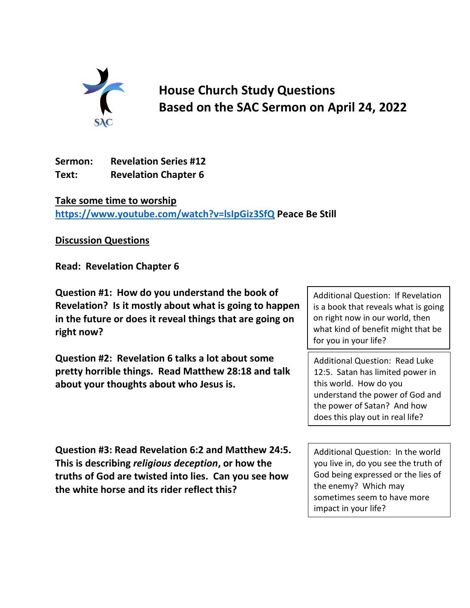

**House Church Study Questions Based on the SAC Sermon on April 24, 2022**

**Sermon: Revelation Series #12 Text: Revelation Chapter 6**

**Take some time to worship <https://www.youtube.com/watch?v=lsIpGiz3SfQ> Peace Be Still**

**Discussion Questions**

**Read: Revelation Chapter 6**

**Question #1: How do you understand the book of Revelation? Is it mostly about what is going to happen in the future or does it reveal things that are going on right now?**

**Question #2: Revelation 6 talks a lot about some pretty horrible things. Read Matthew 28:18 and talk about your thoughts about who Jesus is.** 

Additional Question: If Revelation is a book that reveals what is going on right now in our world, then what kind of benefit might that be for you in your life?

Additional Question: Read Luke 12:5. Satan has limited power in this world. How do you understand the power of God and the power of Satan? And how does this play out in real life?

**Question #3: Read Revelation 6:2 and Matthew 24:5. This is describing** *religious deception***, or how the truths of God are twisted into lies. Can you see how the white horse and its rider reflect this?**

Additional Question: In the world you live in, do you see the truth of God being expressed or the lies of the enemy? Which may sometimes seem to have more impact in your life?